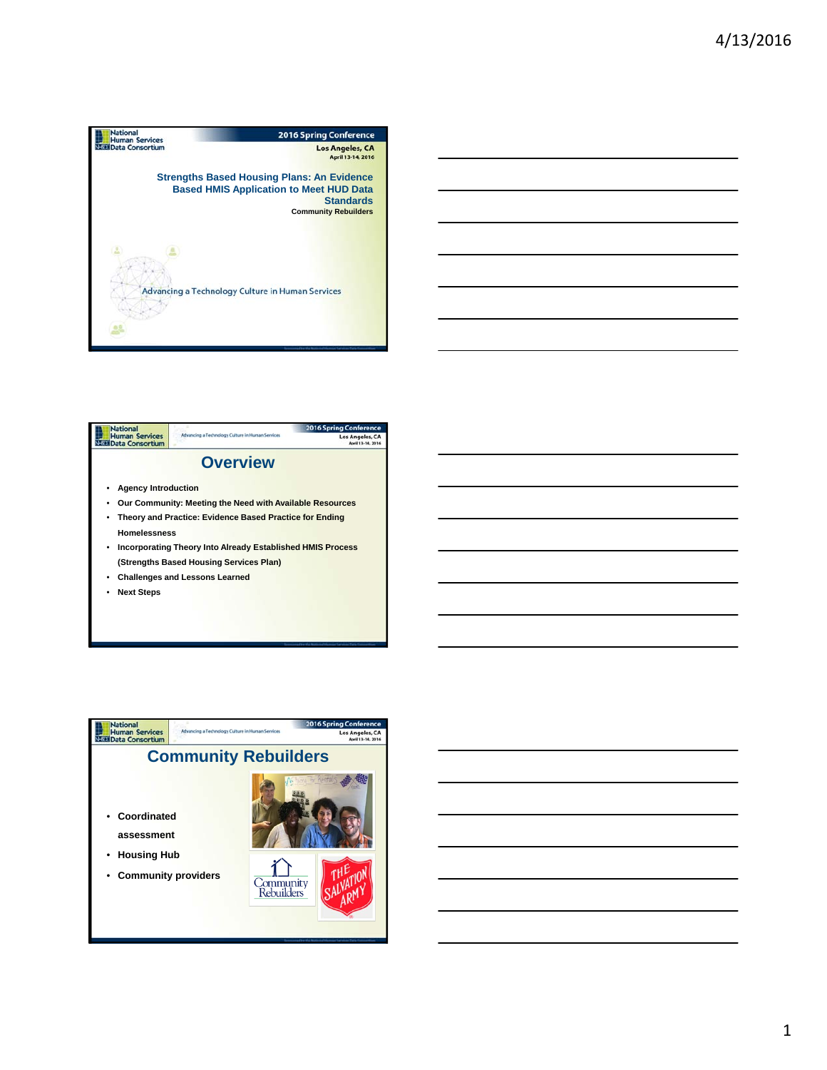







1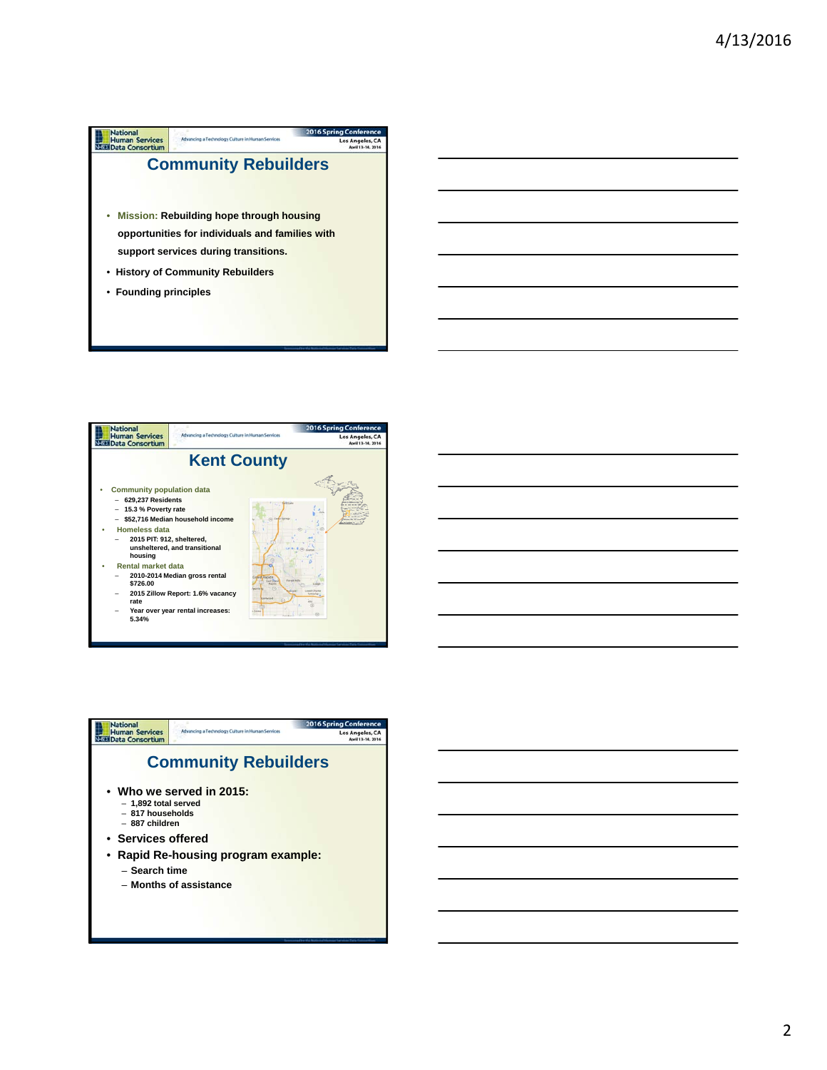



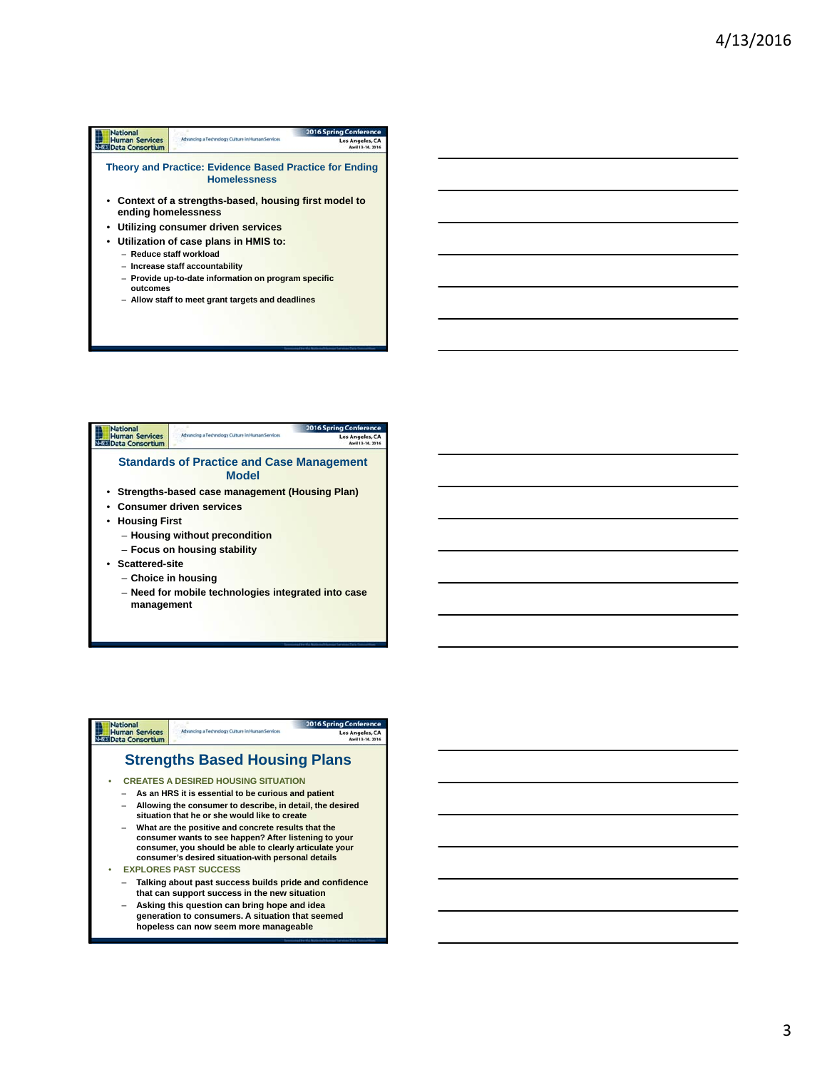## **National**<br> **Human Services**<br> **National Consortium** 2016 Spri Los Ange **Theory and Practice: Evidence Based Practice for Ending Homelessness** • **Context of a strengths-based, housing first model to ending homelessness** • **Utilizing consumer driven services** • **Utilization of case plans in HMIS to:** – **Reduce staff workload** – **Increase staff accountability** – **Provide up-to-date information on program specific outcomes**  – **Allow staff to meet grant targets and deadlines**



## National<br>Human Services<br>Nati Data Consortium 016 S **Strengths Based Housing Plans** • **CREATES A DESIRED HOUSING SITUATION** – **As an HRS it is essential to be curious and patient** – **Allowing the consumer to describe, in detail, the desired situation that he or she would like to create** – **What are the positive and concrete results that the consumer wants to see happen? After listening to your consumer, you should be able to clearly articulate your consumer's desired situation-with personal details** • **EXPLORES PAST SUCCESS** – **Talking about past success builds pride and confidence that can support success in the new situation** – **Asking this question can bring hope and idea**

**generation to consumers. A situation that seemed hopeless can now seem more manageable**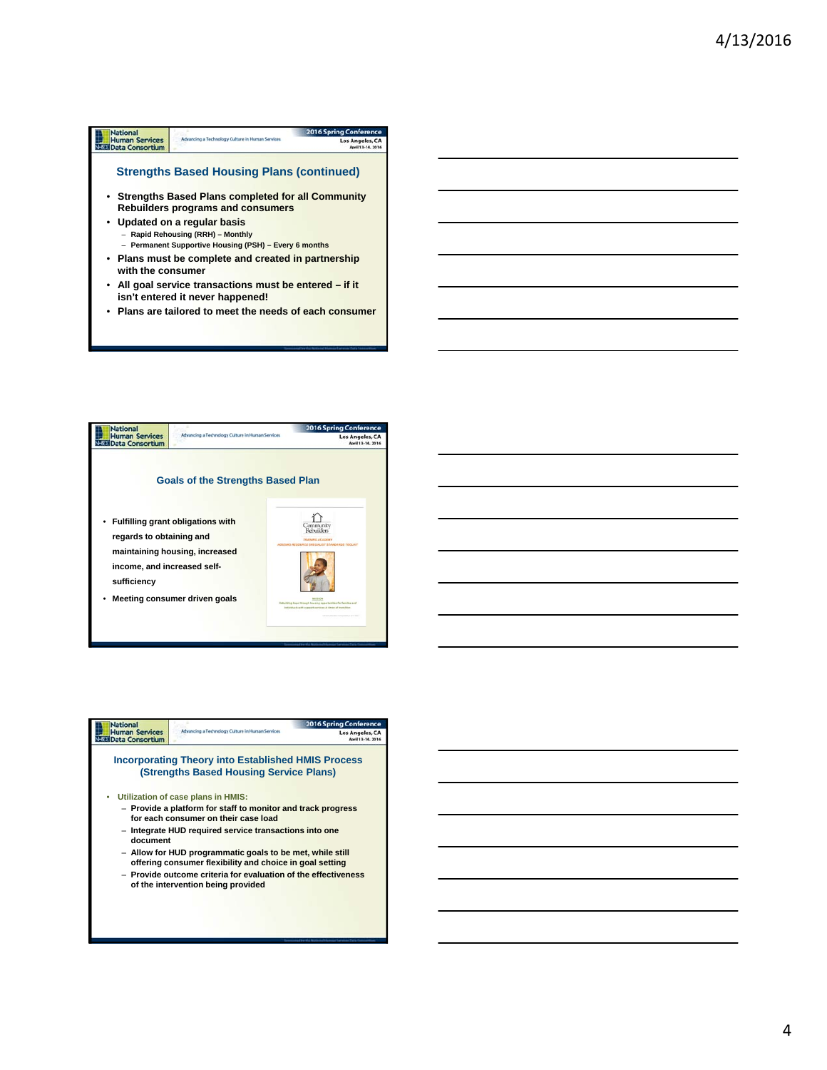## **Mational**<br>
Human Services<br>
SEE Data Consortium 2016 Spring Conf Advancing a Technology Culture in Human Services Los Angeles, CA **Strengths Based Housing Plans (continued)** • **Strengths Based Plans completed for all Community Rebuilders programs and consumers** • **Updated on a regular basis**

- **Rapid Rehousing (RRH) Monthly** – **Permanent Supportive Housing (PSH) – Every 6 months**
- **Plans must be complete and created in partnership with the consumer**
- **All goal service transactions must be entered if it isn't entered it never happened!**
- **Plans are tailored to meet the needs of each consumer**



| <b>National</b>                                 |                                                                                                                       | <b>2016 Spring Conference</b> |
|-------------------------------------------------|-----------------------------------------------------------------------------------------------------------------------|-------------------------------|
| <b>Human Services</b><br><b>Data Consortium</b> | Advancing a Technology Culture in Human Services                                                                      | Los Angeles, CA               |
|                                                 | <b>Incorporating Theory into Established HMIS Process</b><br>(Strengths Based Housing Service Plans)                  |                               |
|                                                 | Utilization of case plans in HMIS:                                                                                    |                               |
|                                                 | - Provide a platform for staff to monitor and track progress<br>for each consumer on their case load                  |                               |
| document                                        | - Integrate HUD required service transactions into one                                                                |                               |
|                                                 | - Allow for HUD programmatic goals to be met, while still<br>offering consumer flexibility and choice in goal setting |                               |
|                                                 | - Provide outcome criteria for evaluation of the effectiveness<br>of the intervention being provided                  |                               |
|                                                 |                                                                                                                       |                               |

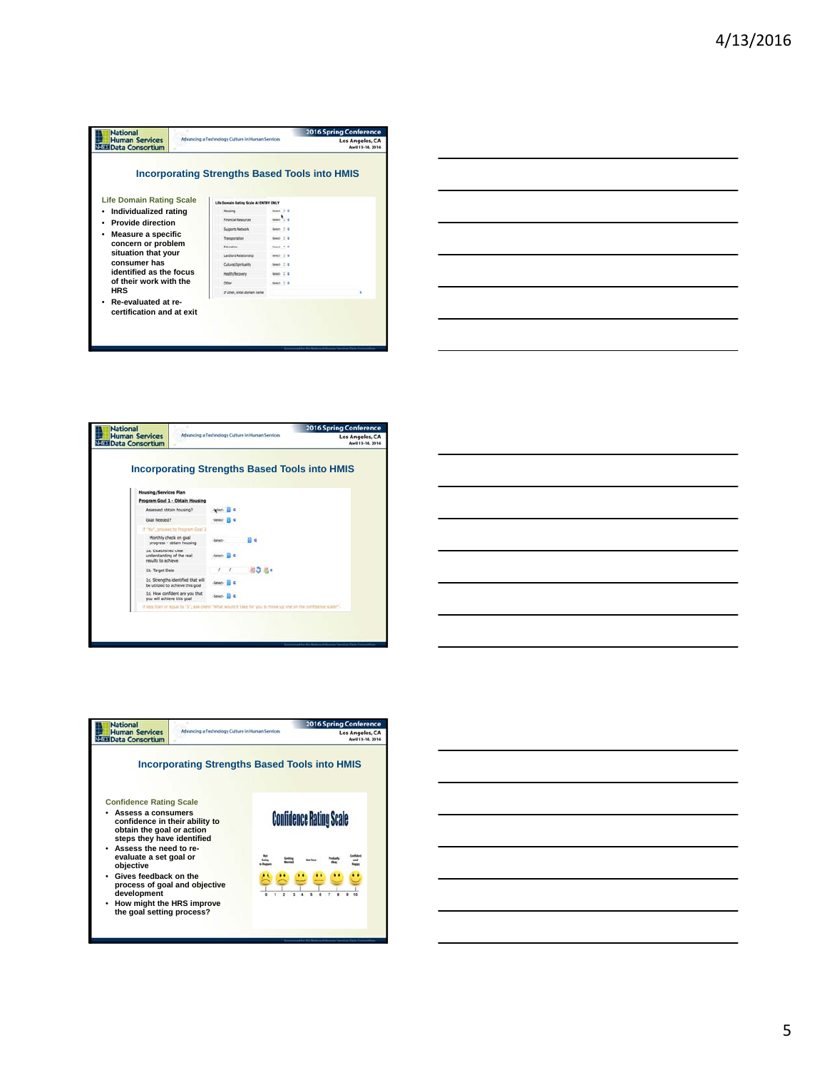| <b>National</b><br><b>Human Services</b><br><b>Data Consortium</b> | Advancing a Technology Culture in Human Services     |                | <b>2016 Spring Conference</b><br>Los Angeles, CA |
|--------------------------------------------------------------------|------------------------------------------------------|----------------|--------------------------------------------------|
|                                                                    | <b>Incorporating Strengths Based Tools into HMIS</b> |                |                                                  |
| <b>Life Domain Rating Scale</b>                                    | Life Domain Rating Scale At ENTRY ONLY               |                |                                                  |
| Individualized rating<br>٠                                         | Housing                                              | Seart $2.4$    |                                                  |
| <b>Provide direction</b>                                           | Financial Resources                                  | $tanh$ $t = 0$ |                                                  |
|                                                                    | Supports Nationals                                   | Sept. 0 E      |                                                  |
| Measure a specific                                                 | Transportation                                       | $5000 - 7$ $6$ |                                                  |
| concern or problem                                                 | Education                                            | $Amn \geq 0$   |                                                  |
| situation that your                                                | Landford Relationship                                | Select D G     |                                                  |
| consumer has                                                       | Cultural/Spirituality                                | Sean 2.6       |                                                  |
| identified as the focus                                            | Health/Recovery                                      | teach 2.6      |                                                  |
| of their work with the                                             | Office                                               | Search 1. C    |                                                  |
| <b>HRS</b>                                                         | If other, enter domain name                          |                |                                                  |
| Re-evaluated at re-<br>certification and at exit                   |                                                      |                |                                                  |









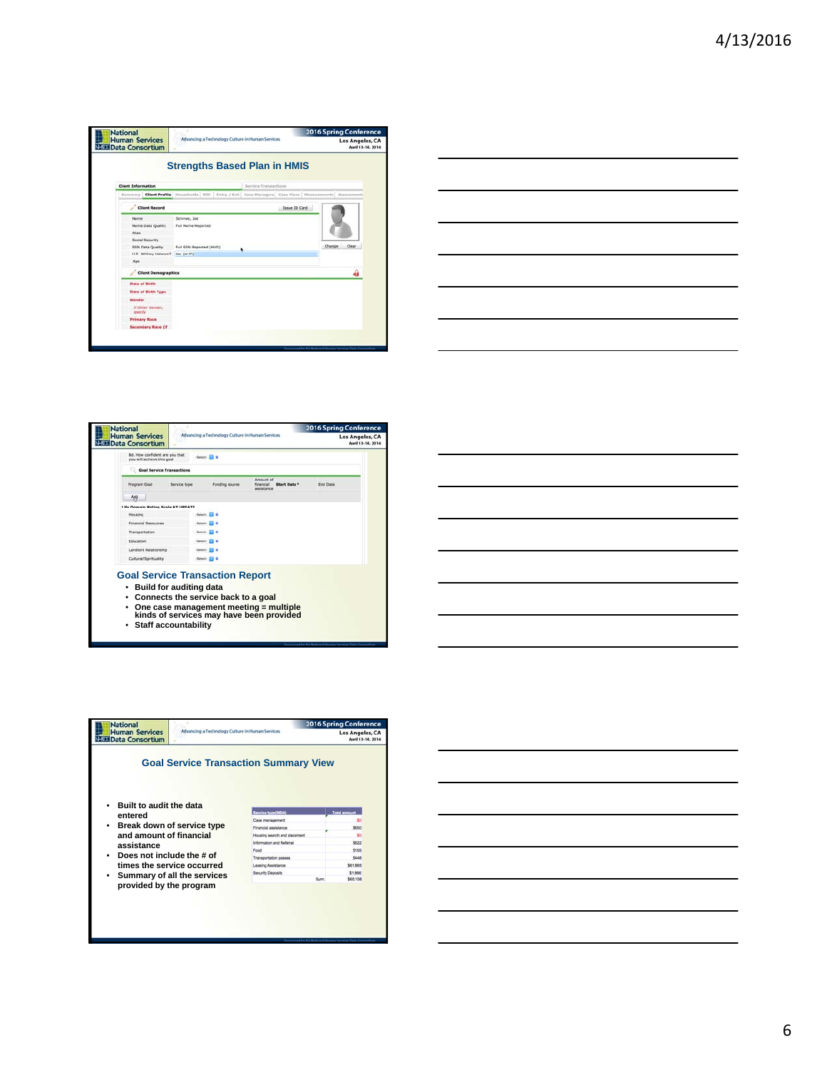| <b>National</b><br><b>Human Services</b><br>Data Consortium | Advancing a Technology Culture in Human Services                                                                  |                      | <b>2016 Spring Conference</b><br><b>Los Angeles, CA</b><br>April 13-14, 2016 |
|-------------------------------------------------------------|-------------------------------------------------------------------------------------------------------------------|----------------------|------------------------------------------------------------------------------|
|                                                             | <b>Strengths Based Plan in HMIS</b>                                                                               |                      |                                                                              |
| <b>Client Information</b>                                   |                                                                                                                   | Service Transactions |                                                                              |
|                                                             | Summary   Client Profile   Households   ROI   Entry / Exit   Case Hanagers   Case Plans   Heasymmetri   Assessmen |                      |                                                                              |
| <b>Client Record</b>                                        |                                                                                                                   | <b>Issue ID Card</b> |                                                                              |
| Name<br>Name Data Quality<br>Alias<br>Social Security       | Schmoe, Joe<br>Full Name Reported                                                                                 |                      |                                                                              |
| <b>SSN Data Quality</b>                                     | Full SSN Reported (HUD)                                                                                           | ٠                    | Change Clear                                                                 |
| U.S. Military Veteran?                                      | Wei (HLID)                                                                                                        |                      |                                                                              |
| Age                                                         |                                                                                                                   |                      |                                                                              |
| <b>Client Demographics</b>                                  |                                                                                                                   |                      | a,                                                                           |
| <b>Date of Birth</b>                                        |                                                                                                                   |                      |                                                                              |
| <b>Date of Birth Type</b>                                   |                                                                                                                   |                      |                                                                              |
| Gender                                                      |                                                                                                                   |                      |                                                                              |
| If Other Gender.<br>specify                                 |                                                                                                                   |                      |                                                                              |
| <b>Primary Race</b>                                         |                                                                                                                   |                      |                                                                              |
| <b>Secondary Race (if</b>                                   |                                                                                                                   |                      |                                                                              |





| National<br><b>Human Services</b> | Advancing a Technology Culture in Human Services |                                              | <b>2016 Spring Conference</b><br>Los Angeles, CA |
|-----------------------------------|--------------------------------------------------|----------------------------------------------|--------------------------------------------------|
| <b>Data Consortium</b>            |                                                  |                                              | April 13-14, 2016                                |
| Built to audit the data           |                                                  | <b>Goal Service Transaction Summary View</b> |                                                  |
| entered                           |                                                  | Service type(9E34)                           | <b>Total amount</b>                              |
|                                   |                                                  |                                              |                                                  |
|                                   |                                                  | Case management                              |                                                  |
| Break down of service type        |                                                  | Financial assistance                         | \$650                                            |
| and amount of financial           |                                                  | Housing search and placement                 |                                                  |
|                                   |                                                  | Information and Referral                     | \$822                                            |
| assistance                        |                                                  | Ennet                                        | \$165                                            |
| Does not include the # of         |                                                  | Transportation passes                        | 5448                                             |
| times the service occurred        |                                                  | <b>Leasing Assistance</b>                    | <b>SO1 805</b>                                   |
|                                   | Summary of all the services                      | Security Deposits                            | \$1,886                                          |

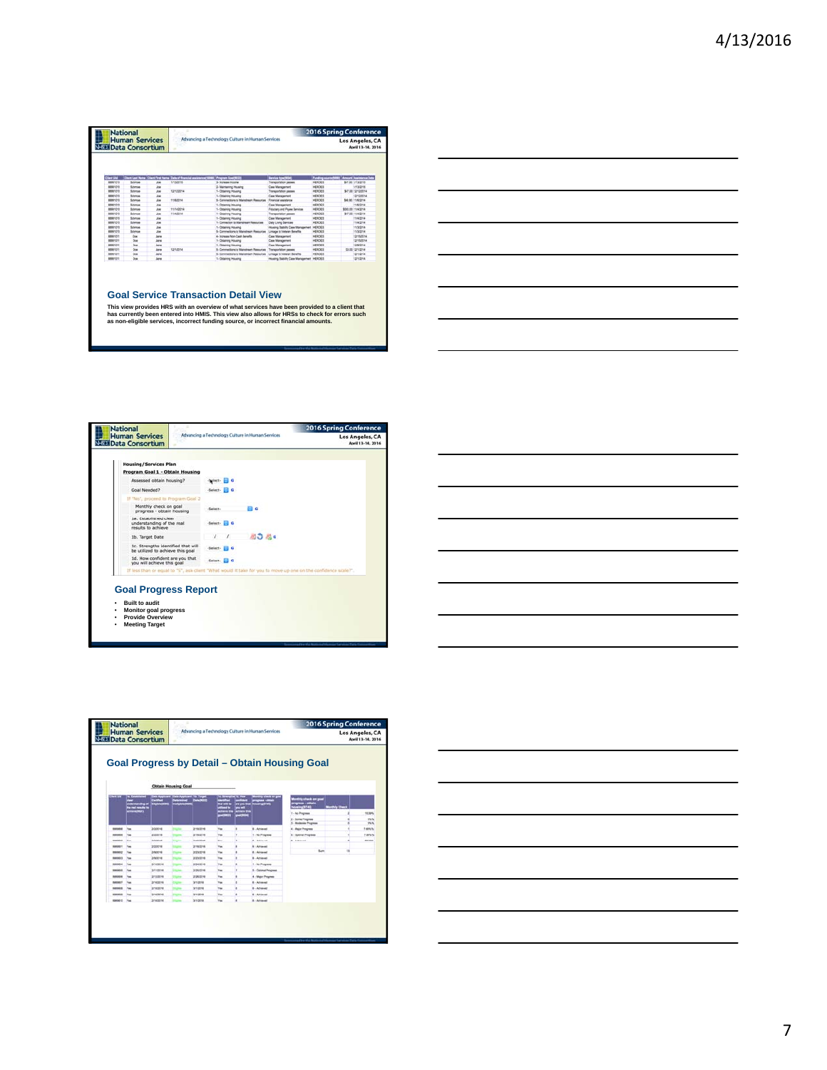| <b>National</b>   |                                                      |             |            |                                                                                               |                                          |                           | <b>2016 Spring Conference</b>        |
|-------------------|------------------------------------------------------|-------------|------------|-----------------------------------------------------------------------------------------------|------------------------------------------|---------------------------|--------------------------------------|
|                   | <b>Human Services</b><br><b>NEED Data Consortium</b> |             |            | Advancing a Technology Culture in Human Services                                              |                                          |                           | Los Angeles, CA<br>April 13-14, 2016 |
|                   |                                                      |             |            |                                                                                               |                                          |                           |                                      |
| Clevel Life       |                                                      |             |            | <b>Clerk Leaf Rame Clerk First Name   Date of Translat assistance (1000) Program CoachECO</b> | <b>Baroles Sync 2024</b>                 | <b>Pumping source/100</b> | <b>CAmuuri Assistance Data</b>       |
| 80001010          | Schmoe                                               | Job         | 1/3/2019   | 3- Increase income                                                                            | Transportation passes                    | <b>HEROES</b>             | <b>B47 SB</b> , 1/13/2016            |
| <b>BINGHIOST</b>  | Schmose                                              | John        |            | 3- Maintening Housing                                                                         | Case Management                          | <b>HEROES</b>             | <b>MEMBERS</b>                       |
| <b>BAGG</b> /1010 | School                                               | Job         | 1212074    | 1- Octoming Housing                                                                           | Transportation passes                    | <b>HEROES</b>             | MF/20 12120214                       |
| 80001010          | Schmak                                               | <b>Job</b>  |            | 1. Chicamna Housing                                                                           | Cate Management                          | <b>HERCHI</b>             | 12/12/2014                           |
| separated         | Schmole                                              | Job         | 11/60014   | 5. Connections to Mainteast Resources                                                         | Financial availables                     | HEROES                    | SAL95 116/2014                       |
| <b>MANICIPO</b>   | Schenze                                              | Job         |            | 1- Obtaining Housing                                                                          | Cose Management                          | HEROES                    | 11/6/2014                            |
| 00001010          | Schmoe                                               | Job         | 11/14/2014 | 1- Obtaining Housing                                                                          | <b>Fibulary and Pause Services</b>       | HERCKS                    | \$500.00 HI-53014                    |
| 80061010          | Schmoe                                               | <b>Joe</b>  | 11:40014   | 1- Ottaining Housing                                                                          | Transportation passes                    | <b>HEROES</b>             | \$47.00 PEA2014                      |
| 80001010          | Sohmoa                                               | Joe         |            | 1- Dingening Housing                                                                          | Case Management                          | HEROCE                    | 114/2014                             |
| 88891010          | Schwend                                              | <b>Jie</b>  |            | 1. Connection to Manutment Resources                                                          | Daily Llung Services                     | HOODS                     | 1142014                              |
| 60001212          | Schmola                                              | <b>Job</b>  |            | 1- Clintennia Housing                                                                         | Housing Datelity Case Management HERCRIS |                           | 11/3/2014                            |
| <b>RINGHILL</b>   | Schmok                                               | in.         |            | 5. Connectors to Manuteurs Resources                                                          | Linkage to Varietan Benefits             | HEROES                    | 11/5/2014                            |
| <b>AMMINISTS</b>  | One                                                  | <b>Jale</b> |            | 4- Increase Non-Cash Benefits                                                                 | Case Management                          | <b>HEROES</b>             | 1215/2014                            |
| <b>BANAHERS</b>   | <b>Dog</b>                                           | <b>Jane</b> |            | 1- Dogeway Housing                                                                            | Case Management                          | <b>HEROES</b>             | 12150014                             |
| <b>BAGGINEY</b>   | free.                                                | Jane 1      |            | 1- Obtaining Housing                                                                          | Case Management                          | <b>HEROES</b>             | <b>KONGOLA</b>                       |
| <b>BINGHIELES</b> | Dist.                                                | Jane 1      | 12/10/14   | 5. Conventions to Manufaset Resources                                                         | Transportation passes                    | <b>HEROES</b>             | \$3.00 EDITORIA                      |
| <b>BIRGHTETT</b>  | Dog                                                  | Jane        |            | 5. Connections to Maneteort Resources                                                         | Linkage to Viewran Benefits              | HEROES                    | 12/12/014                            |
| <b>BIRGHTOTT</b>  | Dre.                                                 | Jane        |            | 1. Obtaining Houseka                                                                          | Housing Stability Case Management HEROES |                           | 1212014                              |

## **Goal Service Transaction Detail View**

This view provides HRS with an overview of what services have been provided to a client that<br>has currently been entered into HMIS. This view also allows for HRSs to check for errors such<br>as non-eligible services, incorrect







|               | <b>National</b><br>Advancing a Technology Culture in Human Services<br><b>Human Services</b><br><b>NESE Data Consortium</b> |                  |                            |                 |             |   |                      |                                                                                 | <b>2016 Spring Conference</b><br>Los Angeles, CA<br>April 13-14, 2016 |                         |  |
|---------------|-----------------------------------------------------------------------------------------------------------------------------|------------------|----------------------------|-----------------|-------------|---|----------------------|---------------------------------------------------------------------------------|-----------------------------------------------------------------------|-------------------------|--|
|               |                                                                                                                             |                  | <b>Obtain Housing Goal</b> |                 |             |   |                      | <b>Goal Progress by Detail - Obtain Housing Goal</b>                            |                                                                       |                         |  |
|               | te mei waufte to<br><b>Manual DIG21</b>                                                                                     |                  |                            |                 |             |   | with the gate        | 40fy check on goal<br>ugravan. - adalah<br>1 - No Progress<br>2 - Bone Progress |                                                                       | 18,595<br>on w          |  |
|               | Van                                                                                                                         | 3/3/3014         |                            | 2160116         | <b>No</b>   | ٠ | 5 Artisted           | 3 - Moderate Progress<br>4 - Major Progress                                     |                                                                       | <b>DSS</b><br>1 days to |  |
|               | <b>Card</b>                                                                                                                 | 202014           |                            | <b>Anagelie</b> | Year.       |   | 1 - Aus Programs     | <b>E - Casimus Progress</b>                                                     |                                                                       | <b>F.69%%</b>           |  |
|               | <b>Mark</b>                                                                                                                 | <b>SORIAL</b>    |                            | <b>STARTING</b> | trac.       | ٠ | <b>Automobile</b>    | <b>R. Artwood</b>                                                               | ٠                                                                     | 68,85%                  |  |
|               | Yes                                                                                                                         | 222716           |                            | 2162016         | <b>Tak</b>  | ٠ | <b>R</b> : Achieved  |                                                                                 |                                                                       |                         |  |
|               | Van                                                                                                                         | 3/6/2016         |                            | 3/25/2016       | <b>That</b> | ٠ | <b>R. Achieved</b>   | Sun.                                                                            | u                                                                     |                         |  |
|               | Ym                                                                                                                          | 24/3714          |                            | азывень         | <b>Tag</b>  | ٠ | <b>B</b> -Artisted   |                                                                                 |                                                                       |                         |  |
|               | Vas                                                                                                                         | progess          |                            | askatis         | Year        | ٠ | 1 - Ass Progress     |                                                                                 |                                                                       |                         |  |
| ---           | <b>Yes</b>                                                                                                                  | $2 + 121 + 6$    |                            | assaire         | <b>Tak</b>  | ¥ | 5 - Danimus Phograph |                                                                                 |                                                                       |                         |  |
|               | m                                                                                                                           | <b>SYSTEM</b>    |                            | 206039          | has         | ٠ | 4 - Mazy Progress    |                                                                                 |                                                                       |                         |  |
| $-$           | <b>Yan</b>                                                                                                                  | pregent.         |                            | 3/10016         | ties.       | × | <b>6-Athenet</b>     |                                                                                 |                                                                       |                         |  |
| RANGELS       | <b>Yes</b>                                                                                                                  | <b>SHADING</b>   |                            | SASEM           | Tek         | ٠ | 6-America            |                                                                                 |                                                                       |                         |  |
| <b>MONDAY</b> | Yan                                                                                                                         | <b>JIYA/2016</b> |                            | <b>WASHING</b>  | <b>Tax</b>  | ٠ | <b>A. Artimed</b>    |                                                                                 |                                                                       |                         |  |
|               | Yes                                                                                                                         | 2/16/2016        |                            | 3/10016         | <b>Wale</b> | ٠ | <b>B</b> - Achieved  |                                                                                 |                                                                       |                         |  |

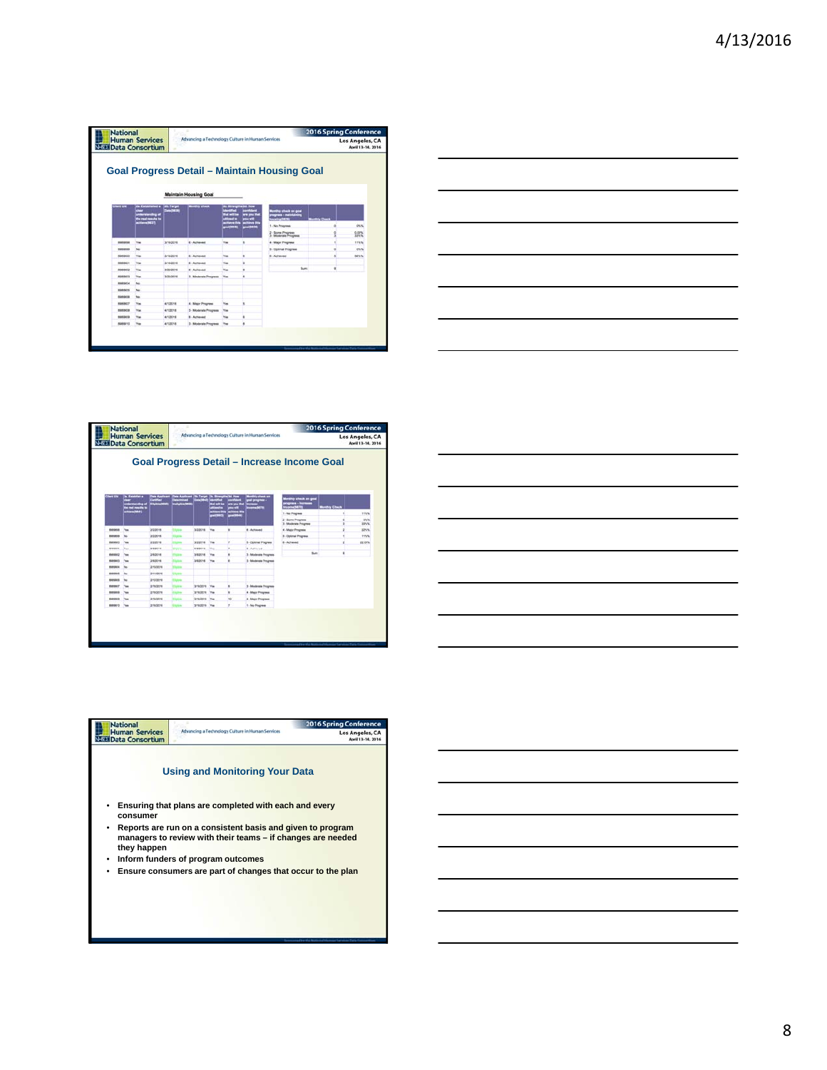| <b>National</b> | <b>Human Services</b>     |                     | Advancing a Technology Culture in Human Services |            |                 | <b>2016 Spring Conference</b><br><b>Los Angeles, CA</b>               |           |                   |
|-----------------|---------------------------|---------------------|--------------------------------------------------|------------|-----------------|-----------------------------------------------------------------------|-----------|-------------------|
|                 | <b>BI Data Consortium</b> |                     |                                                  |            |                 |                                                                       |           | April 13-14, 2016 |
|                 |                           |                     | <b>Maintain Housing Goal</b>                     |            |                 | <b>Goal Progress Detail - Maintain Housing Goal</b>                   |           |                   |
|                 |                           |                     |                                                  |            |                 |                                                                       |           |                   |
|                 | - 1<br>ha real maulis is  | <b>Corta (SAE)A</b> |                                                  |            | سنده<br><b></b> | Ny check on goal<br>ugress - maintai<br><b><i><u>STANDARD</u></i></b> | the Chase |                   |
|                 |                           |                     |                                                  |            | œ               | 1 - No Progress                                                       |           | DNA               |
|                 |                           |                     |                                                  |            |                 | 2 - Scine Progress<br>3 - Moderate Progress                           |           | 0.00%<br>33%%     |
| <b>BMMMM</b>    | <b>Yes</b>                | 318/2018            | E - Achieved                                     | <b>Yes</b> |                 | 4 - Major Progress                                                    |           | 115/5             |
| 1000000         | No                        |                     |                                                  |            |                 | 5 - Optimal Progress                                                  |           | ON/N              |
| 8000000         | <b>Yes</b>                | 316/2016            | <b>E. Achieved</b>                               | <b>Yes</b> |                 | <b>B</b> - Achieved                                                   |           | MNN               |
| minblade) +     | Yes                       | 3160018             | 6 - Actioned                                     | Yes        |                 |                                                                       |           |                   |
| RIABAC2         | Yes                       | 3/23/2018           | E. Achieved                                      | <b>Ves</b> |                 | than                                                                  |           |                   |
| <b>BRADUCO</b>  | <sup>V</sup> m            | 3/23/2016           | 3 - Moderste Progress                            | Yes        |                 |                                                                       |           |                   |
| RIMBINOR        | No                        |                     |                                                  |            |                 |                                                                       |           |                   |
| ROADCOL         | No                        |                     |                                                  |            |                 |                                                                       |           |                   |
| Richields       | te.                       |                     |                                                  |            |                 |                                                                       |           |                   |
| <b>RUADECT</b>  | Van                       | ATODIA              | 4 - Major Progressi                              | <b>Vas</b> |                 |                                                                       |           |                   |
| 95090008        | Vas                       | 41/2018             | 3 - Moderate Progress                            | Yes        |                 |                                                                       |           |                   |
| REBUICO         | $V_{\text{BH}}$           | andors              | 8 - Achieved                                     | <b>Yes</b> |                 |                                                                       |           |                   |
|                 | Ves                       | 41/2018             | 3 - Moderate Progress                            | Yes        |                 |                                                                       |           |                   |

|  | ____ |
|--|------|
|  |      |
|  |      |
|  |      |
|  |      |
|  |      |
|  |      |
|  |      |
|  |      |
|  |      |
|  |      |
|  |      |
|  | __   |
|  |      |
|  |      |
|  |      |
|  |      |
|  |      |
|  |      |
|  |      |
|  |      |
|  |      |
|  |      |
|  |      |

|                 | <b>National</b><br><b>Human Services</b><br><b>NESET Data Consortium</b> | <b>2016 Spring Conference</b><br>Advancing a Technology Culture in Human Services<br>Los Angeles, CA |            |                     |             |   |                             |                                                                      |                                   | April 13-14, 2016            |
|-----------------|--------------------------------------------------------------------------|------------------------------------------------------------------------------------------------------|------------|---------------------|-------------|---|-----------------------------|----------------------------------------------------------------------|-----------------------------------|------------------------------|
|                 |                                                                          |                                                                                                      |            |                     |             |   |                             | Goal Progress Detail - Increase Income Goal                          |                                   |                              |
|                 | is for<br>a real results to<br><b>New Case 11</b>                        | Central                                                                                              |            |                     |             |   | y sheek on<br><b>ATMOSF</b> | <b>Monthly check on goal</b><br>regress increase<br><b>Nome SETE</b> | <b><i><u>entity</u></i></b> Check |                              |
|                 |                                                                          |                                                                                                      |            |                     |             |   |                             | 1 - No Progress<br>2 - Some Progress<br>3 - Moderate Progress        |                                   | Inste<br><b>DWW</b><br>33%/6 |
| ecosicia        | You                                                                      | 200016                                                                                               | œ          | 3/3/3016            | <b>The</b>  | ¥ | <b>B</b> - Achieved         | 4 - Mater Programs                                                   |                                   | 225.5                        |
| <b>RUSSIAN</b>  | her                                                                      | addesi                                                                                               |            |                     |             |   |                             | 5 - Datimal Progress                                                 |                                   | 1155%                        |
| 0009000         | Yes                                                                      | 222014                                                                                               |            | 3/2/2014            | Top         |   | 5 - Colvinal Progress       | 8-Acheved                                                            |                                   | 22.00%                       |
| <b>BOARDOT!</b> | Ves                                                                      | 3/3/3014                                                                                             | <b>STA</b> | 3/3/3014            |             | ٠ | <b>B</b> - Achieved         |                                                                      |                                   |                              |
| BARSOCO         | Yes.                                                                     | 29/2016                                                                                              |            | 3/6/2018            | <b>Tips</b> |   | 3 - Moderate Progress       | Sun.                                                                 | ٠                                 |                              |
| exeter's        | Yes                                                                      | 29/30/16                                                                                             |            | 3/6/2016            | <b>Yan</b>  |   | 1-Moderate Progress         |                                                                      |                                   |                              |
| 0000004         | his-                                                                     | 2103016                                                                                              |            |                     |             |   |                             |                                                                      |                                   |                              |
| <b>BURSOCS</b>  | $^{16}$                                                                  | <b>BY10016</b>                                                                                       |            |                     |             |   |                             |                                                                      |                                   |                              |
| <b>BURSICO</b>  | her                                                                      | 3123014                                                                                              |            |                     |             |   |                             |                                                                      |                                   |                              |
| <b>MARGAST</b>  | No.                                                                      | 3163016                                                                                              |            | 3/150016 View       |             | ٠ | 3 - Mindersin Progress      |                                                                      |                                   |                              |
| REPAIDS         | You                                                                      | 2192016                                                                                              |            | 3/62016             | <b>Text</b> | ٠ | 4 - Major Progress          |                                                                      |                                   |                              |
|                 | <b>Yes</b>                                                               | 2160216                                                                                              |            | <b>3/sport</b>      | <b>You</b>  | w | 4 - Major Progress          |                                                                      |                                   |                              |
| 0000000         |                                                                          | 3165016                                                                                              |            | SYNDOW <sub>N</sub> |             | × | 1 - No Progress             |                                                                      |                                   |                              |



| <b>National</b>                          |                                                                                                                                                                                                                                                                                                                                  | <b>2016 Spring Conference</b> |
|------------------------------------------|----------------------------------------------------------------------------------------------------------------------------------------------------------------------------------------------------------------------------------------------------------------------------------------------------------------------------------|-------------------------------|
| <b>Human Services</b><br>Data Consortium | Advancing a Technology Culture in Human Services                                                                                                                                                                                                                                                                                 | <b>Los Angeles, CA</b>        |
| consumer<br>٠<br>they happen<br>٠<br>٠   | <b>Using and Monitoring Your Data</b><br>Ensuring that plans are completed with each and every<br>Reports are run on a consistent basis and given to program<br>managers to review with their teams – if changes are needed<br>Inform funders of program outcomes<br>Ensure consumers are part of changes that occur to the plan |                               |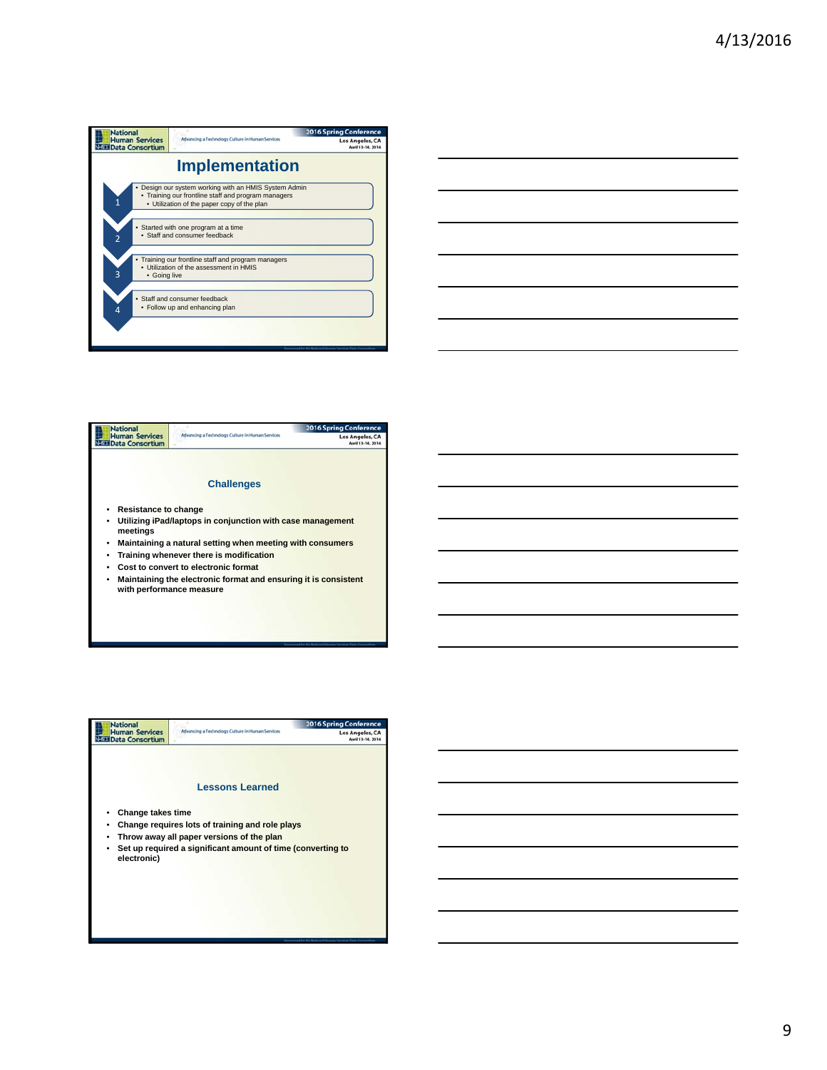





9